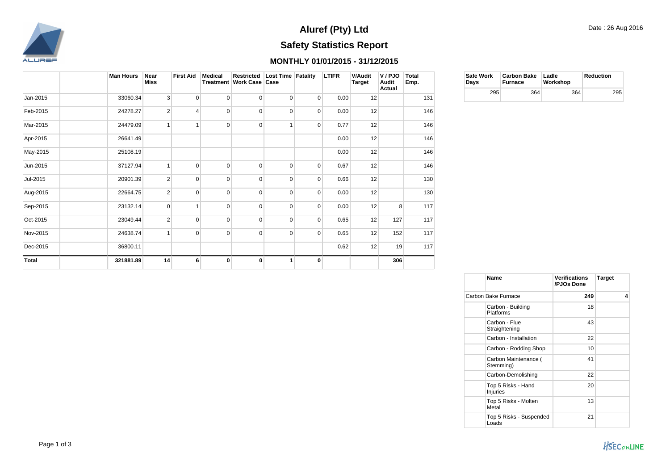

## **Safety Statistics Report Aluref (Pty) Ltd**

## **MONTHLY 01/01/2015 - 31/12/2015**

|          | <b>Man Hours</b> | Near<br>Miss   | <b>First Aid</b> | <b>Medical</b> | Restricted Lost Time Fatality<br>Treatment   Work Case   Case |                |                | <b>LTIFR</b> | <b>V/Audit</b><br>Target | V / PJO<br>Audit<br>Actual | Total<br>Emp. |
|----------|------------------|----------------|------------------|----------------|---------------------------------------------------------------|----------------|----------------|--------------|--------------------------|----------------------------|---------------|
| Jan-2015 | 33060.34         | 3              | $\overline{0}$   | $\mathbf 0$    | $\overline{0}$                                                | $\overline{0}$ | $\overline{0}$ | 0.00         | 12                       |                            | 131           |
| Feb-2015 | 24278.27         | $\overline{2}$ | 4                | $\mathbf 0$    | $\mathbf 0$                                                   | $\overline{0}$ | $\overline{0}$ | 0.00         | 12                       |                            | 146           |
| Mar-2015 | 24479.09         | $\mathbf{1}$   |                  | $\mathbf 0$    | 0                                                             |                | $\overline{0}$ | 0.77         | 12                       |                            | 146           |
| Apr-2015 | 26641.49         |                |                  |                |                                                               |                |                | 0.00         | 12                       |                            | 146           |
| May-2015 | 25108.19         |                |                  |                |                                                               |                |                | 0.00         | 12                       |                            | 146           |
| Jun-2015 | 37127.94         | 1              | $\overline{0}$   | $\mathbf 0$    | $\mathbf 0$                                                   | 0              | 0              | 0.67         | 12                       |                            | 146           |
| Jul-2015 | 20901.39         | $\overline{2}$ | $\overline{0}$   | $\mathbf 0$    | $\mathbf 0$                                                   | $\mathbf 0$    | $\overline{0}$ | 0.66         | 12                       |                            | 130           |
| Aug-2015 | 22664.75         | $\overline{2}$ | $\overline{0}$   | $\mathbf 0$    | $\mathbf 0$                                                   | $\overline{0}$ | $\overline{0}$ | 0.00         | 12                       |                            | 130           |
| Sep-2015 | 23132.14         | $\mathbf 0$    |                  | $\Omega$       | $\mathbf 0$                                                   | $\Omega$       | $\mathbf 0$    | 0.00         | 12                       | 8                          | 117           |
| Oct-2015 | 23049.44         | $\overline{2}$ | $\overline{0}$   | $\mathbf 0$    | $\mathbf 0$                                                   | $\mathbf 0$    | $\mathbf 0$    | 0.65         | 12                       | 127                        | 117           |
| Nov-2015 | 24638.74         | $\mathbf{1}$   | $\overline{0}$   | $\mathbf 0$    | 0                                                             | $\mathbf 0$    | $\mathbf 0$    | 0.65         | 12                       | 152                        | 117           |
| Dec-2015 | 36800.11         |                |                  |                |                                                               |                |                | 0.62         | 12                       | 19                         | 117           |
| Total    | 321881.89        | 14             | 6                | $\bf{0}$       | 0                                                             |                | 0              |              |                          | 306                        |               |

| Safe Work<br>Davs | Carbon Bake   Ladle<br><b>Furnace</b> | Workshop | Reduction |  |
|-------------------|---------------------------------------|----------|-----------|--|
| 295               | 364                                   | 364      | 295       |  |

| Name                                  | Verifications<br>/PJOs Done | <b>Target</b> |
|---------------------------------------|-----------------------------|---------------|
| Carbon Bake Furnace                   | 249                         | 4             |
| Carbon - Building<br>Platforms        | 18                          |               |
| Carbon - Flue<br>Straightening        | 43                          |               |
| Carbon - Installation                 | 22                          |               |
| Carbon - Rodding Shop                 | 10                          |               |
| Carbon Maintenance (<br>Stemming)     | 41                          |               |
| Carbon-Demolishing                    | 22                          |               |
| Top 5 Risks - Hand<br><b>Injuries</b> | 20                          |               |
| Top 5 Risks - Molten<br>Metal         | 13                          |               |
| Top 5 Risks - Suspended<br>Loads      | 21                          |               |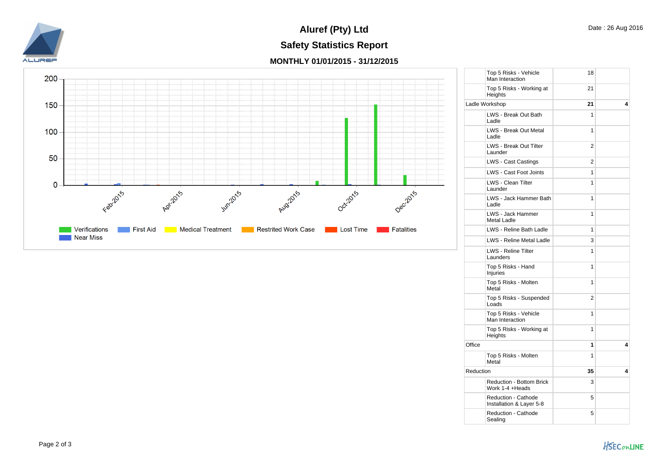

## **Safety Statistics Report Aluref (Pty) Ltd**

**MONTHLY 01/01/2015 - 31/12/2015**



|           | Top 5 Risks - Vehicle<br>Man Interaction               | 18             |   |
|-----------|--------------------------------------------------------|----------------|---|
|           | Top 5 Risks - Working at<br>Heights                    | 21             |   |
|           | Ladle Workshop                                         | 21             | 4 |
|           | LWS - Break Out Bath<br>Ladle                          | 1              |   |
|           | <b>LWS - Break Out Metal</b><br>Ladle                  | 1              |   |
|           | LWS - Break Out Tilter<br>Launder                      | $\overline{2}$ |   |
|           | <b>LWS - Cast Castings</b>                             | 2              |   |
|           | LWS - Cast Foot Joints                                 | 1              |   |
|           | LWS - Clean Tilter<br>Launder                          | 1              |   |
|           | LWS - Jack Hammer Bath<br>Ladle                        | 1              |   |
|           | LWS - Jack Hammer<br><b>Metal Ladle</b>                | 1              |   |
|           | LWS - Reline Bath Ladle                                | 1              |   |
|           | <b>LWS - Reline Metal Ladle</b>                        | 3              |   |
|           | LWS - Reline Tilter<br>Launders                        | 1              |   |
|           | Top 5 Risks - Hand<br><b>Injuries</b>                  | 1              |   |
|           | Top 5 Risks - Molten<br>Metal                          | 1              |   |
|           | Top 5 Risks - Suspended<br>Loads                       | 2              |   |
|           | Top 5 Risks - Vehicle<br>Man Interaction               | 1              |   |
|           | Top 5 Risks - Working at<br>Heights                    | 1              |   |
| Office    |                                                        | 1              | 4 |
|           | Top 5 Risks - Molten<br>Metal                          | 1              |   |
| Reduction |                                                        | 35             | 4 |
|           | <b>Reduction - Bottom Brick</b><br>Work 1-4 +Heads     | 3              |   |
|           | <b>Reduction - Cathode</b><br>Installation & Layer 5-8 | 5              |   |
|           | Reduction - Cathode<br>Sealing                         | 5              |   |